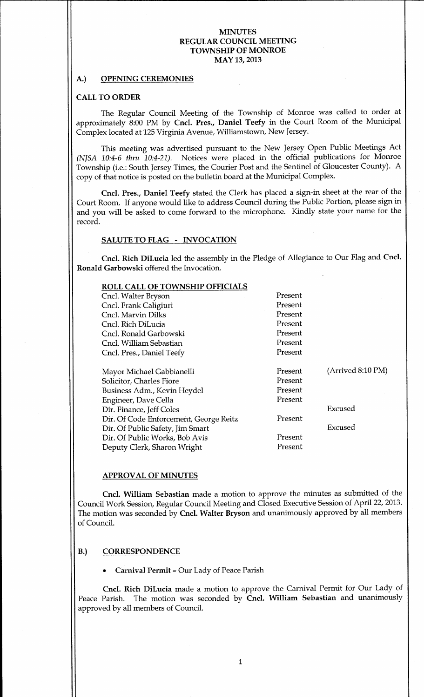#### A.) OPENING CEREMONIES

#### **CALL TO ORDER**

The Regular Council Meeting of the Township of Monroe was called to order at approximately 8:00 PM by Cncl. Pres., Daniel Teefy in the Court Room of the Municipal Complex located at 125 Virginia Avenue, Williamstown, New Jersey.

This meeting was advertised pursuant to the New Jersey Open Public Meetings Act (NJSA 10:4-6 thru 10:4-21). Notices were placed in the official publications for Monroe Township (i.e.: South Jersey Times, the Courier Post and the Sentinel of Gloucester County). A copy of that notice is posted on the bulletin board at the Municipal Complex.

Cncl. Pres., Daniel Teefy stated the Clerk has placed a sign-in sheet at the rear of the Court Room. If anyone would like to address Council during the Public Portion, please sign in and you will be asked to come forward to the microphone. Kindly state your name for the record

### SALUTE TO FLAG - INVOCATION

Cncl. Rich DiLucia led the assembly in the Pledge of Allegiance to Our Flag and Cncl. Ronald Garbowski offered the Invocation

| ROLL CALL OF TOWNSHIP OFFICIALS        |         |                   |
|----------------------------------------|---------|-------------------|
| Cncl. Walter Bryson                    | Present |                   |
| Cncl. Frank Caligiuri                  | Present |                   |
| Cncl. Marvin Dilks                     | Present |                   |
| Cncl. Rich DiLucia                     | Present |                   |
| Cncl. Ronald Garbowski                 | Present |                   |
| Cncl. William Sebastian                | Present |                   |
| Cncl. Pres., Daniel Teefy              | Present |                   |
|                                        |         |                   |
| Mayor Michael Gabbianelli              | Present | (Arrived 8:10 PM) |
| Solicitor, Charles Fiore               | Present |                   |
| Business Adm., Kevin Heydel            | Present |                   |
| Engineer, Dave Cella                   | Present |                   |
| Dir. Finance, Jeff Coles               |         | Excused           |
| Dir. Of Code Enforcement, George Reitz | Present |                   |
| Dir. Of Public Safety, Jim Smart       |         | Excused           |
| Dir. Of Public Works, Bob Avis         | Present |                   |
| Deputy Clerk, Sharon Wright            | Present |                   |

# APPROVAL OF MINUTES

Deputy Clerk, Sharon Wright

Cncl. William Sebastian made a motion to approve the minutes as submitted of the Council Work Session, Regular Council Meeting and Closed Executive Session of April 22, 2013. The motion was seconded by Cncl. Walter Bryson and unanimously approved by all members of Council

#### B.) CORRESPONDENCE

Carnival Permit - Our Lady of Peace Parish

Cncl. Rich DiLucia made a motion to approve the Carnival Permit for Our Lady of Peace Parish. The motion was seconded by Cncl. William Sebastian and unanimously approved by all members of Council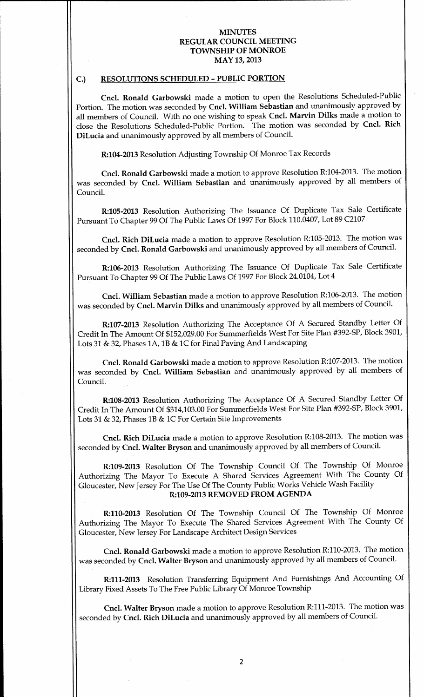# C.) RESOLUTIONS SCHEDULED - PUBLIC PORTION

Cncl. Ronald Garbowski made a motion to open the Resolutions Scheduled-Public Portion. The motion was seconded by Cncl. William Sebastian and unanimously approved by all members of Council. With no one wishing to speak Cncl. Marvin Dilks made a motion to close the Resolutions Scheduled-Public Portion. The motion was seconded by Cncl. Rich DiLucia and unanimously approved by all members of Council

R:104-2013 Resolution Adjusting Township Of Monroe Tax Records

Cncl. Ronald Garbowski made a motion to approve Resolution R:104-2013. The motion was seconded by Cncl. William Sebastian and unanimously approved by all members of Council

R:105-2013 Resolution Authorizing The Issuance Of Duplicate Tax Sale Certificate Pursuant To Chapter 99 Of The Public Laws Of 1997 For Block 110.0407, Lot 89 C2107

Cncl. Rich DiLucia made a motion to approve Resolution R:105-2013. The motion was seconded by Cncl. Ronald Garbowski and unanimously approved by all members of Council.

R:106-2013 Resolution Authorizing The Issuance Of Duplicate Tax Sale Certificate Pursuant To Chapter 99 Of The Public Laws Of 1997 For Block 24.0104, Lot 4

Cncl. William Sebastian made a motion to approve Resolution R:106-2013. The motion was seconded by Cncl. Marvin Dilks and unanimously approved by all members of Council.

R:107-2013 Resolution Authorizing The Acceptance Of A Secured Standby Letter Of Credit In The Amount Of \$152,029.00 For Summerfields West For Site Plan #392-SP, Block 3901, Lots 31 & 32, Phases 1A, 1B & 1C for Final Paving And Landscaping

Cncl. Ronald Garbowski made a motion to approve Resolution R:107-2013. The motion was seconded by Cncl. William Sebastian and unanimously approved by all members of Council

R:108-2013 Resolution Authorizing The Acceptance Of A Secured Standby Letter Of Credit In The Amount Of \$314,103.00 For Summerfields West For Site Plan #392-SP, Block 3901, Lots 31 & 32, Phases 1B & 1C For Certain Site Improvements

Cncl. Rich DiLucia made a motion to approve Resolution R:108-2013. The motion was seconded by Cncl. Walter Bryson and unanimously approved by all members of Council.

R:109-2013 Resolution Of The Township Council Of The Township Of Monroe Authorizing The Mayor To Execute A Shared Services Agreement With The County Of Gloucester, New Jersey For The Use Of The County Public Works Vehicle Wash Facility R:109-2013 REMOVED FROM AGENDA

R:110-2013 Resolution Of The Township Council Of The Township Of Monroe Authorizing The Mayor To Execute The Shared Services Agreement With The County Of Gloucester, New Jersey For Landscape Architect Design Services

Cncl. Ronald Garbowski made a motion to approve Resolution R:110-2013. The motion was seconded by Cncl. Walter Bryson and unanimously approved by all members of Council.

R:111-2013 Resolution Transferring Equipment And Furnishings And Accounting Of Library Fixed Assets To The Free Public Library Of Monroe Township

Cncl. Walter Bryson made a motion to approve Resolution R:111-2013. The motion was seconded by Cncl. Rich DiLucia and unanimously approved by all members of Council.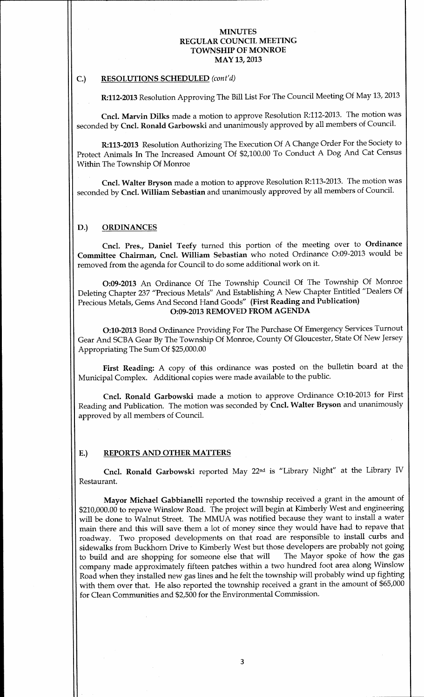#### C.) RESOLUTIONS SCHEDULED (cont'd)

R:112-2013 Resolution Approving The Bill List For The Council Meeting Of May 13, 2013

Cncl. Marvin Dilks made a motion to approve Resolution R:112-2013. The motion was seconded by Cncl. Ronald Garbowski and unanimously approved by all members of Council.

R:113-2013 Resolution Authorizing The Execution Of A Change Order For the Society to Protect Animals In The Increased Amount Of \$2,100.00 To Conduct A Dog And Cat Census Within The Township Of Monroe

Cncl. Walter Bryson made a motion to approve Resolution R:113-2013. The motion was seconded by Cncl. William Sebastian and unanimously approved by all members of Council.

#### D.) ORDINANCES

Cncl. Pres., Daniel Teefy turned this portion of the meeting over to Ordinance Committee Chairman, Cncl. William Sebastian who noted Ordinance O:09-2013 would be removed from the agenda for Council to do some additional work on it.

O:09-2013 An Ordinance Of The Township Council Of The Township Of Monroe Deleting Chapter 237 "Precious Metals" And Establishing A New Chapter Entitled "Dealers Of Precious Metals, Gems And Second Hand Goods" (First Reading and Publication) O:09-2013 REMOVED FROM AGENDA

O:10-2013 Bond Ordinance Providing For The Purchase Of Emergency Services Turnout Gear And SCBA Gear By The Township Of Monroe, County Of Gloucester, State Of New Jersey Appropriating The Sum Of \$25,000.00

First Reading: A copy of this ordinance was posted on the bulletin board at the Municipal Complex. Additional copies were made available to the public.

Cncl. Ronald Garbowski made a motion to approve Ordinance O:10-2013 for First Reading and Publication. The motion was seconded by Cncl. Walter Bryson and unanimously approved by all members of Council

#### E.) REPORTS AND OTHER MATTERS

Cncl. Ronald Garbowski reported May 22<sup>nd</sup> is "Library Night" at the Library IV Restaurant

Mayor Michael Gabbianelli reported the township received a grant in the amount of \$210,000.00 to repave Winslow Road. The project will begin at Kimberly West and engineering will be done to Walnut Street. The MMUA was notified because they want to install a water main there and this will save them a lot of money since they would have had to repave that roadway. Two proposed developments on that road are responsible to install curbs and sidewalks from Buckhorn Drive to Kimberly West but those developers are probably not going<br>to build and are shopping for someone else that will The Mayor spoke of how the gas to build and are shopping for someone else that will company made approximately fifteen patches within a two hundred foot area along Winslow Road when they installed new gas lines and he felt the township will probably wind up fighting with them over that. He also reported the township received a grant in the amount of \$65,000 for Clean Communities and \$2,500 for the Environmental Commission.